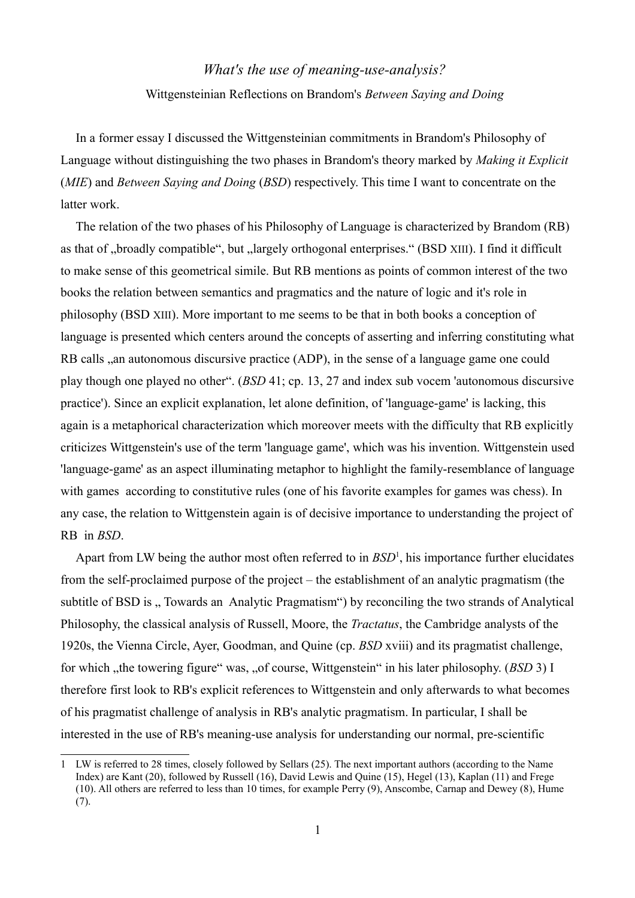## *What's the use of meaning-use-analysis?* Wittgensteinian Reflections on Brandom's *Between Saying and Doing*

In a former essay I discussed the Wittgensteinian commitments in Brandom's Philosophy of Language without distinguishing the two phases in Brandom's theory marked by *Making it Explicit* (*MIE*) and *Between Saying and Doing* (*BSD*) respectively. This time I want to concentrate on the latter work.

The relation of the two phases of his Philosophy of Language is characterized by Brandom (RB) as that of "broadly compatible", but "largely orthogonal enterprises." (BSD XIII). I find it difficult to make sense of this geometrical simile. But RB mentions as points of common interest of the two books the relation between semantics and pragmatics and the nature of logic and it's role in philosophy (BSD XIII). More important to me seems to be that in both books a conception of language is presented which centers around the concepts of asserting and inferring constituting what RB calls , an autonomous discursive practice (ADP), in the sense of a language game one could play though one played no other". (*BSD* 41; cp. 13, 27 and index sub vocem 'autonomous discursive practice'). Since an explicit explanation, let alone definition, of 'language-game' is lacking, this again is a metaphorical characterization which moreover meets with the difficulty that RB explicitly criticizes Wittgenstein's use of the term 'language game', which was his invention. Wittgenstein used 'language-game' as an aspect illuminating metaphor to highlight the family-resemblance of language with games according to constitutive rules (one of his favorite examples for games was chess). In any case, the relation to Wittgenstein again is of decisive importance to understanding the project of RB in *BSD*.

Apart from LW being the author most often referred to in *BSD*<sup>[1](#page-0-0)</sup>, his importance further elucidates from the self-proclaimed purpose of the project – the establishment of an analytic pragmatism (the subtitle of BSD is ... Towards an Analytic Pragmatism") by reconciling the two strands of Analytical Philosophy, the classical analysis of Russell, Moore, the *Tractatus*, the Cambridge analysts of the 1920s, the Vienna Circle, Ayer, Goodman, and Quine (cp. *BSD* xviii) and its pragmatist challenge, for which "the towering figure" was, "of course, Wittgenstein" in his later philosophy. (*BSD* 3) I therefore first look to RB's explicit references to Wittgenstein and only afterwards to what becomes of his pragmatist challenge of analysis in RB's analytic pragmatism. In particular, I shall be interested in the use of RB's meaning-use analysis for understanding our normal, pre-scientific

<span id="page-0-0"></span><sup>1</sup> LW is referred to 28 times, closely followed by Sellars (25). The next important authors (according to the Name Index) are Kant (20), followed by Russell (16), David Lewis and Quine (15), Hegel (13), Kaplan (11) and Frege (10). All others are referred to less than 10 times, for example Perry (9), Anscombe, Carnap and Dewey (8), Hume (7).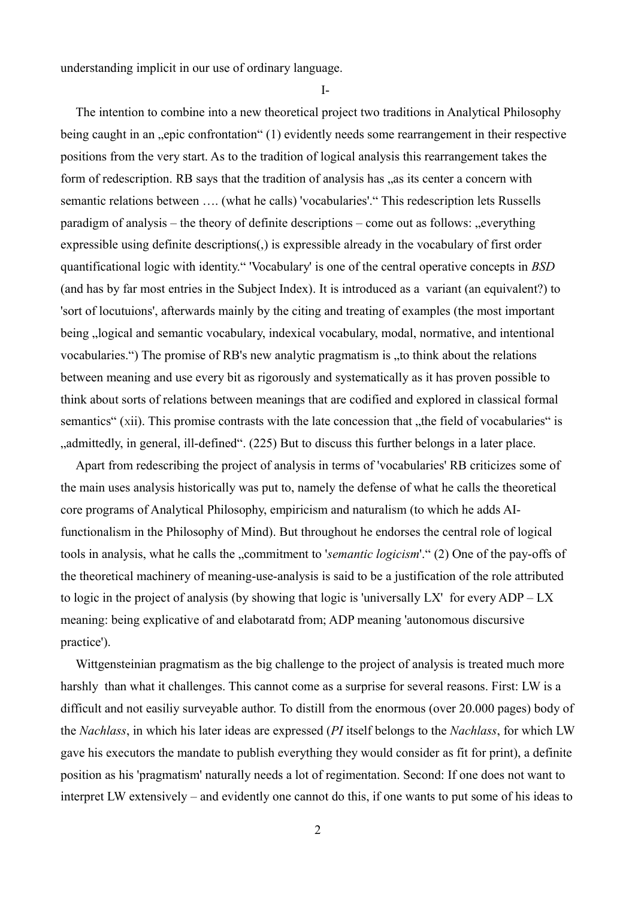understanding implicit in our use of ordinary language.

I-

The intention to combine into a new theoretical project two traditions in Analytical Philosophy being caught in an "epic confrontation" (1) evidently needs some rearrangement in their respective positions from the very start. As to the tradition of logical analysis this rearrangement takes the form of redescription. RB says that the tradition of analysis has  $\alpha$  as its center a concern with semantic relations between …. (what he calls) 'vocabularies'." This redescription lets Russells paradigm of analysis – the theory of definite descriptions – come out as follows:  $\alpha$ , everything expressible using definite descriptions(,) is expressible already in the vocabulary of first order quantificational logic with identity." 'Vocabulary' is one of the central operative concepts in *BSD*  (and has by far most entries in the Subject Index). It is introduced as a variant (an equivalent?) to 'sort of locutuions', afterwards mainly by the citing and treating of examples (the most important being ... logical and semantic vocabulary, indexical vocabulary, modal, normative, and intentional vocabularies.") The promise of RB's new analytic pragmatism is "to think about the relations between meaning and use every bit as rigorously and systematically as it has proven possible to think about sorts of relations between meanings that are codified and explored in classical formal semantics" (xii). This promise contrasts with the late concession that "the field of vocabularies" is ", admittedly, in general, ill-defined". (225) But to discuss this further belongs in a later place.

Apart from redescribing the project of analysis in terms of 'vocabularies' RB criticizes some of the main uses analysis historically was put to, namely the defense of what he calls the theoretical core programs of Analytical Philosophy, empiricism and naturalism (to which he adds AIfunctionalism in the Philosophy of Mind). But throughout he endorses the central role of logical tools in analysis, what he calls the "commitment to '*semantic logicism*'." (2) One of the pay-offs of the theoretical machinery of meaning-use-analysis is said to be a justification of the role attributed to logic in the project of analysis (by showing that logic is 'universally LX' for every ADP – LX meaning: being explicative of and elabotaratd from; ADP meaning 'autonomous discursive practice').

Wittgensteinian pragmatism as the big challenge to the project of analysis is treated much more harshly than what it challenges. This cannot come as a surprise for several reasons. First: LW is a difficult and not easiliy surveyable author. To distill from the enormous (over 20.000 pages) body of the *Nachlass*, in which his later ideas are expressed (*PI* itself belongs to the *Nachlass*, for which LW gave his executors the mandate to publish everything they would consider as fit for print), a definite position as his 'pragmatism' naturally needs a lot of regimentation. Second: If one does not want to interpret LW extensively – and evidently one cannot do this, if one wants to put some of his ideas to

2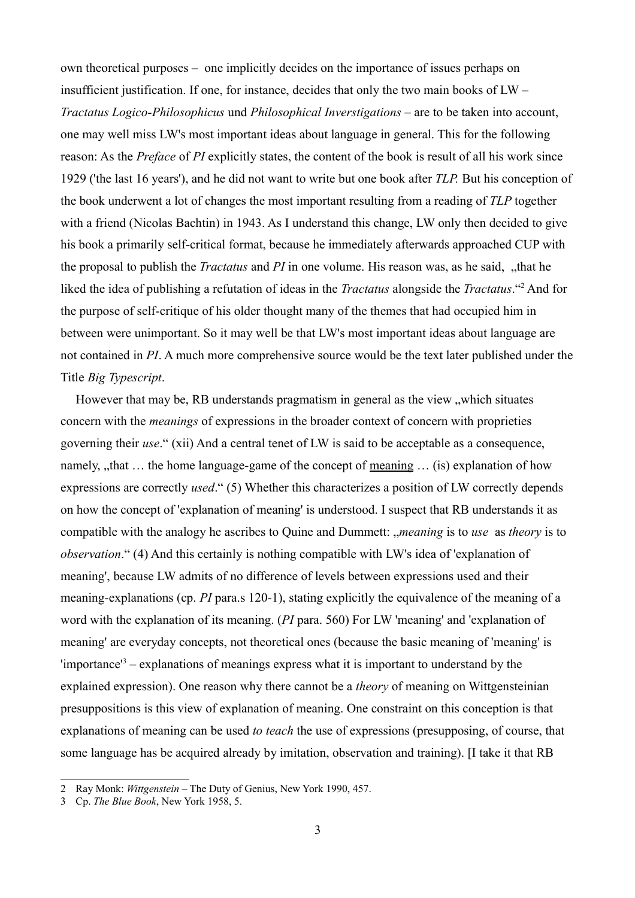own theoretical purposes – one implicitly decides on the importance of issues perhaps on insufficient justification. If one, for instance, decides that only the two main books of LW – *Tractatus Logico-Philosophicus* und *Philosophical Inverstigations* – are to be taken into account, one may well miss LW's most important ideas about language in general. This for the following reason: As the *Preface* of *PI* explicitly states, the content of the book is result of all his work since 1929 ('the last 16 years'), and he did not want to write but one book after *TLP.* But his conception of the book underwent a lot of changes the most important resulting from a reading of *TLP* together with a friend (Nicolas Bachtin) in 1943. As I understand this change, LW only then decided to give his book a primarily self-critical format, because he immediately afterwards approached CUP with the proposal to publish the *Tractatus* and *PI* in one volume. His reason was, as he said, "that he liked the idea of publishing a refutation of ideas in the *Tractatus* alongside the *Tractatus*."[2](#page-2-0) And for the purpose of self-critique of his older thought many of the themes that had occupied him in between were unimportant. So it may well be that LW's most important ideas about language are not contained in *PI*. A much more comprehensive source would be the text later published under the Title *Big Typescript*.

However that may be, RB understands pragmatism in general as the view "which situates concern with the *meanings* of expressions in the broader context of concern with proprieties governing their *use*." (xii) And a central tenet of LW is said to be acceptable as a consequence, namely,  $\mu$ that  $\ldots$  the home language-game of the concept of meaning  $\ldots$  (is) explanation of how expressions are correctly *used*." (5) Whether this characterizes a position of LW correctly depends on how the concept of 'explanation of meaning' is understood. I suspect that RB understands it as compatible with the analogy he ascribes to Quine and Dummett: "*meaning* is to *use* as *theory* is to *observation*." (4) And this certainly is nothing compatible with LW's idea of 'explanation of meaning', because LW admits of no difference of levels between expressions used and their meaning-explanations (cp. *PI* para.s 120-1), stating explicitly the equivalence of the meaning of a word with the explanation of its meaning. (*PI* para. 560) For LW 'meaning' and 'explanation of meaning' are everyday concepts, not theoretical ones (because the basic meaning of 'meaning' is 'importance'[3](#page-2-1) – explanations of meanings express what it is important to understand by the explained expression). One reason why there cannot be a *theory* of meaning on Wittgensteinian presuppositions is this view of explanation of meaning. One constraint on this conception is that explanations of meaning can be used *to teach* the use of expressions (presupposing, of course, that some language has be acquired already by imitation, observation and training). [I take it that RB

<span id="page-2-0"></span><sup>2</sup> Ray Monk: *Wittgenstein* – The Duty of Genius, New York 1990, 457.

<span id="page-2-1"></span><sup>3</sup> Cp. *The Blue Book*, New York 1958, 5.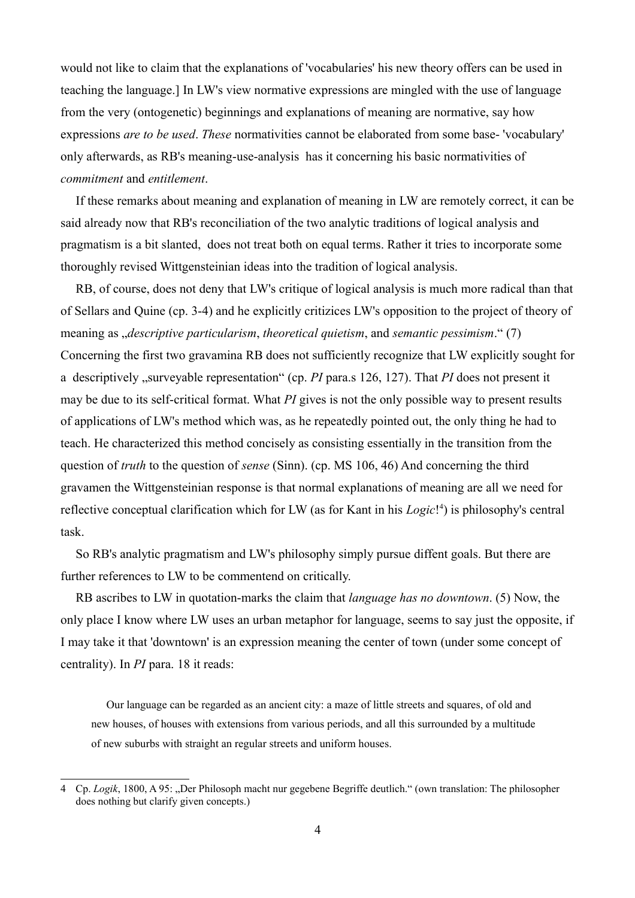would not like to claim that the explanations of 'vocabularies' his new theory offers can be used in teaching the language.] In LW's view normative expressions are mingled with the use of language from the very (ontogenetic) beginnings and explanations of meaning are normative, say how expressions *are to be used*. *These* normativities cannot be elaborated from some base- 'vocabulary' only afterwards, as RB's meaning-use-analysis has it concerning his basic normativities of *commitment* and *entitlement*.

If these remarks about meaning and explanation of meaning in LW are remotely correct, it can be said already now that RB's reconciliation of the two analytic traditions of logical analysis and pragmatism is a bit slanted, does not treat both on equal terms. Rather it tries to incorporate some thoroughly revised Wittgensteinian ideas into the tradition of logical analysis.

RB, of course, does not deny that LW's critique of logical analysis is much more radical than that of Sellars and Quine (cp. 3-4) and he explicitly critizices LW's opposition to the project of theory of meaning as "*descriptive particularism*, *theoretical quietism*, and *semantic pessimism*." (7) Concerning the first two gravamina RB does not sufficiently recognize that LW explicitly sought for a descriptively , surveyable representation" (cp. *PI* para.s 126, 127). That *PI* does not present it may be due to its self-critical format. What *PI* gives is not the only possible way to present results of applications of LW's method which was, as he repeatedly pointed out, the only thing he had to teach. He characterized this method concisely as consisting essentially in the transition from the question of *truth* to the question of *sense* (Sinn). (cp. MS 106, 46) And concerning the third gravamen the Wittgensteinian response is that normal explanations of meaning are all we need for reflective conceptual clarification which for LW (as for Kant in his *Logic*!<sup>[4](#page-3-0)</sup>) is philosophy's central task.

So RB's analytic pragmatism and LW's philosophy simply pursue diffent goals. But there are further references to LW to be commentend on critically.

RB ascribes to LW in quotation-marks the claim that *language has no downtown*. (5) Now, the only place I know where LW uses an urban metaphor for language, seems to say just the opposite, if I may take it that 'downtown' is an expression meaning the center of town (under some concept of centrality). In *PI* para. 18 it reads:

Our language can be regarded as an ancient city: a maze of little streets and squares, of old and new houses, of houses with extensions from various periods, and all this surrounded by a multitude of new suburbs with straight an regular streets and uniform houses.

<span id="page-3-0"></span><sup>4</sup> Cp. *Logik*, 1800, A 95: "Der Philosoph macht nur gegebene Begriffe deutlich." (own translation: The philosopher does nothing but clarify given concepts.)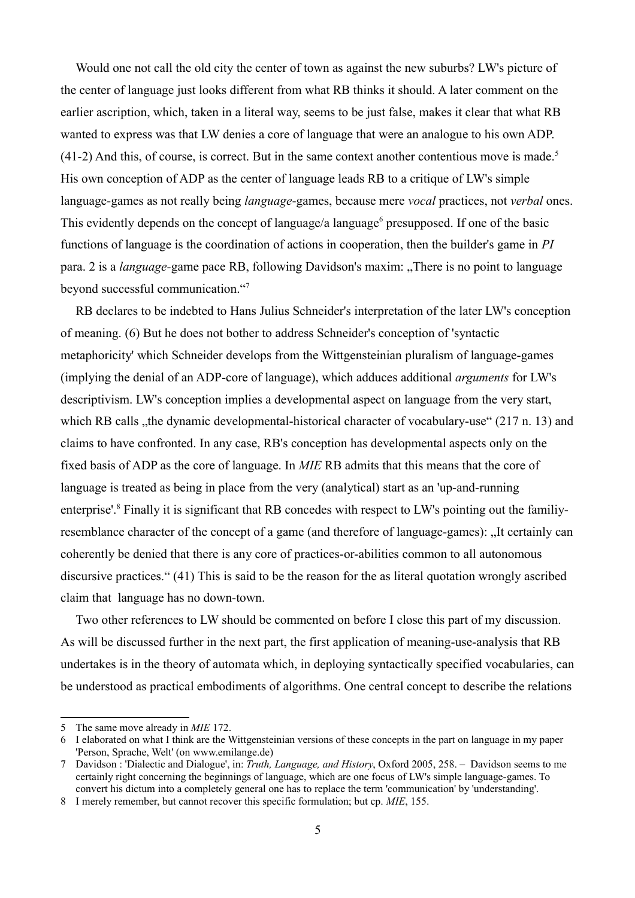Would one not call the old city the center of town as against the new suburbs? LW's picture of the center of language just looks different from what RB thinks it should. A later comment on the earlier ascription, which, taken in a literal way, seems to be just false, makes it clear that what RB wanted to express was that LW denies a core of language that were an analogue to his own ADP.  $(41-2)$  And this, of course, is correct. But in the same context another contentious move is made.<sup>[5](#page-4-0)</sup> His own conception of ADP as the center of language leads RB to a critique of LW's simple language-games as not really being *language*-games, because mere *vocal* practices, not *verbal* ones. This evidently depends on the concept of language/a language $\delta$  presupposed. If one of the basic functions of language is the coordination of actions in cooperation, then the builder's game in *PI*  para. 2 is a *language*-game pace RB, following Davidson's maxim: "There is no point to language beyond successful communication."[7](#page-4-2)

RB declares to be indebted to Hans Julius Schneider's interpretation of the later LW's conception of meaning. (6) But he does not bother to address Schneider's conception of 'syntactic metaphoricity' which Schneider develops from the Wittgensteinian pluralism of language-games (implying the denial of an ADP-core of language), which adduces additional *arguments* for LW's descriptivism. LW's conception implies a developmental aspect on language from the very start, which RB calls , the dynamic developmental-historical character of vocabulary-use" (217 n. 13) and claims to have confronted. In any case, RB's conception has developmental aspects only on the fixed basis of ADP as the core of language. In *MIE* RB admits that this means that the core of language is treated as being in place from the very (analytical) start as an 'up-and-running enterprise'.<sup>[8](#page-4-3)</sup> Finally it is significant that RB concedes with respect to LW's pointing out the familiyresemblance character of the concept of a game (and therefore of language-games): "It certainly can coherently be denied that there is any core of practices-or-abilities common to all autonomous discursive practices." (41) This is said to be the reason for the as literal quotation wrongly ascribed claim that language has no down-town.

Two other references to LW should be commented on before I close this part of my discussion. As will be discussed further in the next part, the first application of meaning-use-analysis that RB undertakes is in the theory of automata which, in deploying syntactically specified vocabularies, can be understood as practical embodiments of algorithms. One central concept to describe the relations

<span id="page-4-0"></span><sup>5</sup> The same move already in *MIE* 172.

<span id="page-4-1"></span><sup>6</sup> I elaborated on what I think are the Wittgensteinian versions of these concepts in the part on language in my paper 'Person, Sprache, Welt' (on www.emilange.de)

<span id="page-4-2"></span><sup>7</sup> Davidson : 'Dialectic and Dialogue', in: *Truth, Language, and History*, Oxford 2005, 258. – Davidson seems to me certainly right concerning the beginnings of language, which are one focus of LW's simple language-games. To convert his dictum into a completely general one has to replace the term 'communication' by 'understanding'.

<span id="page-4-3"></span><sup>8</sup> I merely remember, but cannot recover this specific formulation; but cp. *MIE*, 155.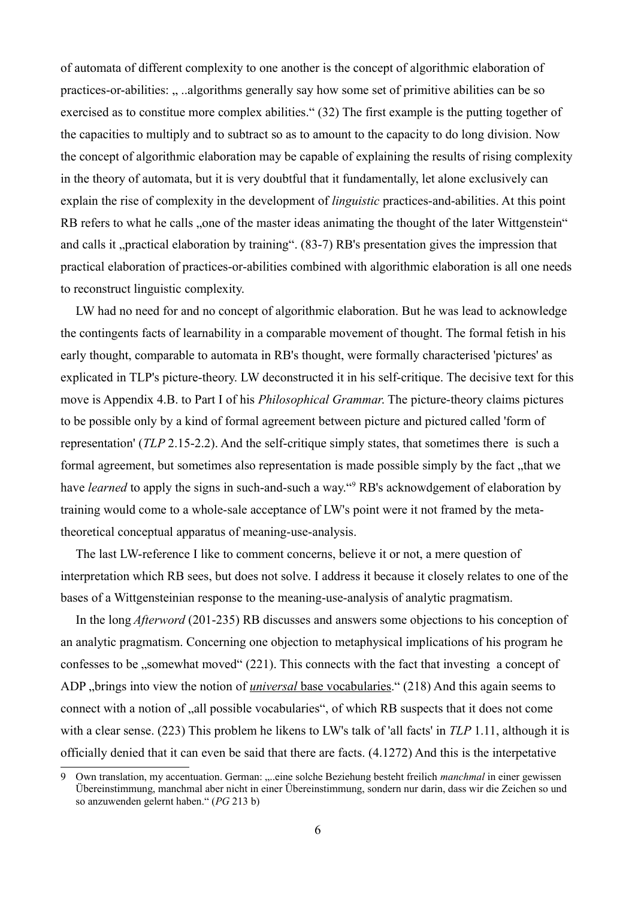of automata of different complexity to one another is the concept of algorithmic elaboration of practices-or-abilities: ... ..algorithms generally say how some set of primitive abilities can be so exercised as to constitue more complex abilities." (32) The first example is the putting together of the capacities to multiply and to subtract so as to amount to the capacity to do long division. Now the concept of algorithmic elaboration may be capable of explaining the results of rising complexity in the theory of automata, but it is very doubtful that it fundamentally, let alone exclusively can explain the rise of complexity in the development of *linguistic* practices-and-abilities. At this point RB refers to what he calls "one of the master ideas animating the thought of the later Wittgenstein" and calls it "practical elaboration by training". (83-7) RB's presentation gives the impression that practical elaboration of practices-or-abilities combined with algorithmic elaboration is all one needs to reconstruct linguistic complexity.

LW had no need for and no concept of algorithmic elaboration. But he was lead to acknowledge the contingents facts of learnability in a comparable movement of thought. The formal fetish in his early thought, comparable to automata in RB's thought, were formally characterised 'pictures' as explicated in TLP's picture-theory. LW deconstructed it in his self-critique. The decisive text for this move is Appendix 4.B. to Part I of his *Philosophical Grammar*. The picture-theory claims pictures to be possible only by a kind of formal agreement between picture and pictured called 'form of representation' (*TLP* 2.15-2.2). And the self-critique simply states, that sometimes there is such a formal agreement, but sometimes also representation is made possible simply by the fact, that we have *learned* to apply the signs in such-and-such a way."<sup>[9](#page-5-0)</sup> RB's acknowdgement of elaboration by training would come to a whole-sale acceptance of LW's point were it not framed by the metatheoretical conceptual apparatus of meaning-use-analysis.

The last LW-reference I like to comment concerns, believe it or not, a mere question of interpretation which RB sees, but does not solve. I address it because it closely relates to one of the bases of a Wittgensteinian response to the meaning-use-analysis of analytic pragmatism.

In the long *Afterword* (201-235) RB discusses and answers some objections to his conception of an analytic pragmatism. Concerning one objection to metaphysical implications of his program he confesses to be , somewhat moved " (221). This connects with the fact that investing a concept of ADP "brings into view the notion of *universal* base vocabularies." (218) And this again seems to connect with a notion of  $\alpha$ , all possible vocabularies", of which RB suspects that it does not come with a clear sense. (223) This problem he likens to LW's talk of 'all facts' in *TLP* 1.11, although it is officially denied that it can even be said that there are facts. (4.1272) And this is the interpetative

<span id="page-5-0"></span><sup>9</sup> Own translation, my accentuation. German: "...eine solche Beziehung besteht freilich *manchmal* in einer gewissen Übereinstimmung, manchmal aber nicht in einer Übereinstimmung, sondern nur darin, dass wir die Zeichen so und so anzuwenden gelernt haben." (*PG* 213 b)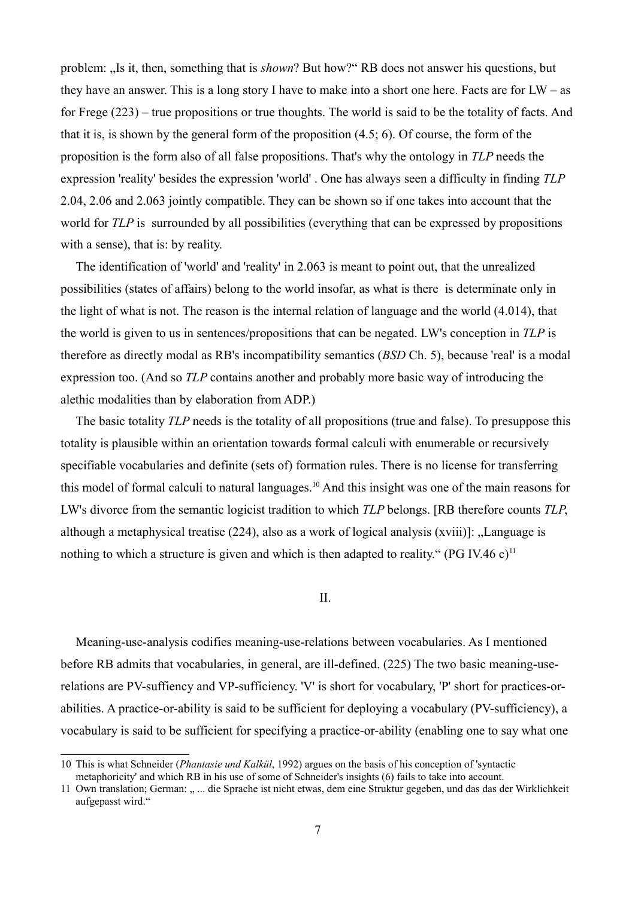problem: "Is it, then, something that is *shown*? But how?" RB does not answer his questions, but they have an answer. This is a long story I have to make into a short one here. Facts are for LW – as for Frege (223) – true propositions or true thoughts. The world is said to be the totality of facts. And that it is, is shown by the general form of the proposition (4.5; 6). Of course, the form of the proposition is the form also of all false propositions. That's why the ontology in *TLP* needs the expression 'reality' besides the expression 'world' . One has always seen a difficulty in finding *TLP*  2.04, 2.06 and 2.063 jointly compatible. They can be shown so if one takes into account that the world for *TLP* is surrounded by all possibilities (everything that can be expressed by propositions with a sense), that is: by reality.

The identification of 'world' and 'reality' in 2.063 is meant to point out, that the unrealized possibilities (states of affairs) belong to the world insofar, as what is there is determinate only in the light of what is not. The reason is the internal relation of language and the world (4.014), that the world is given to us in sentences/propositions that can be negated. LW's conception in *TLP* is therefore as directly modal as RB's incompatibility semantics (*BSD* Ch. 5), because 'real' is a modal expression too. (And so *TLP* contains another and probably more basic way of introducing the alethic modalities than by elaboration from ADP.)

The basic totality *TLP* needs is the totality of all propositions (true and false). To presuppose this totality is plausible within an orientation towards formal calculi with enumerable or recursively specifiable vocabularies and definite (sets of) formation rules. There is no license for transferring this model of formal calculi to natural languages.<sup>[10](#page-6-0)</sup> And this insight was one of the main reasons for LW's divorce from the semantic logicist tradition to which *TLP* belongs. [RB therefore counts *TLP*, although a metaphysical treatise  $(224)$ , also as a work of logical analysis  $(xviii)$ : "Language is nothing to which a structure is given and which is then adapted to reality." (PG IV.46 c)<sup>[11](#page-6-1)</sup>

II.

Meaning-use-analysis codifies meaning-use-relations between vocabularies. As I mentioned before RB admits that vocabularies, in general, are ill-defined. (225) The two basic meaning-userelations are PV-suffiency and VP-sufficiency. 'V' is short for vocabulary, 'P' short for practices-orabilities. A practice-or-ability is said to be sufficient for deploying a vocabulary (PV-sufficiency), a vocabulary is said to be sufficient for specifying a practice-or-ability (enabling one to say what one

<span id="page-6-0"></span><sup>10</sup> This is what Schneider (*Phantasie und Kalkül*, 1992) argues on the basis of his conception of 'syntactic metaphoricity' and which RB in his use of some of Schneider's insights (6) fails to take into account.

<span id="page-6-1"></span><sup>11</sup> Own translation; German: ..... die Sprache ist nicht etwas, dem eine Struktur gegeben, und das das der Wirklichkeit aufgepasst wird."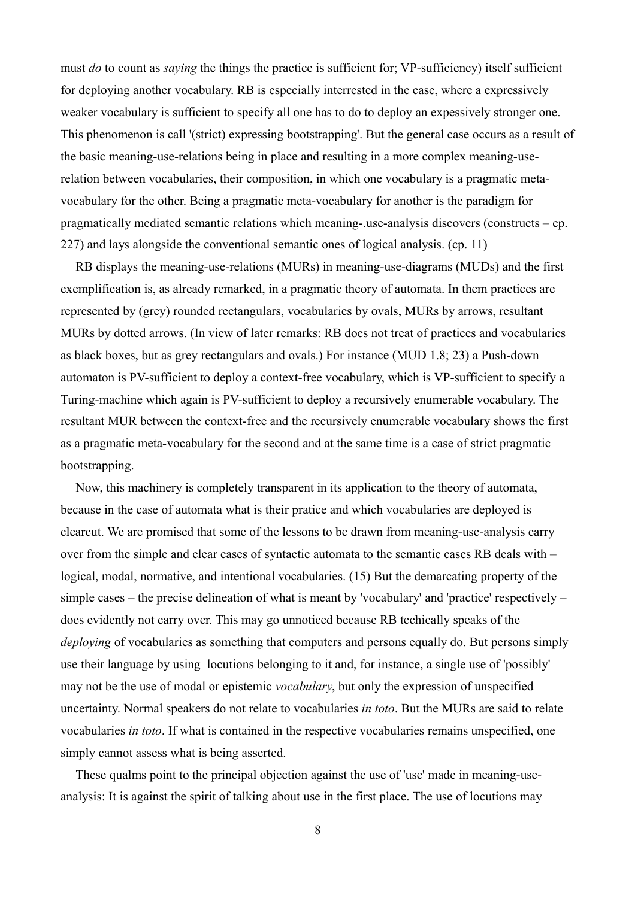must *do* to count as *saying* the things the practice is sufficient for; VP-sufficiency) itself sufficient for deploying another vocabulary. RB is especially interrested in the case, where a expressively weaker vocabulary is sufficient to specify all one has to do to deploy an expessively stronger one. This phenomenon is call '(strict) expressing bootstrapping'. But the general case occurs as a result of the basic meaning-use-relations being in place and resulting in a more complex meaning-userelation between vocabularies, their composition, in which one vocabulary is a pragmatic metavocabulary for the other. Being a pragmatic meta-vocabulary for another is the paradigm for pragmatically mediated semantic relations which meaning-.use-analysis discovers (constructs – cp. 227) and lays alongside the conventional semantic ones of logical analysis. (cp. 11)

RB displays the meaning-use-relations (MURs) in meaning-use-diagrams (MUDs) and the first exemplification is, as already remarked, in a pragmatic theory of automata. In them practices are represented by (grey) rounded rectangulars, vocabularies by ovals, MURs by arrows, resultant MURs by dotted arrows. (In view of later remarks: RB does not treat of practices and vocabularies as black boxes, but as grey rectangulars and ovals.) For instance (MUD 1.8; 23) a Push-down automaton is PV-sufficient to deploy a context-free vocabulary, which is VP-sufficient to specify a Turing-machine which again is PV-sufficient to deploy a recursively enumerable vocabulary. The resultant MUR between the context-free and the recursively enumerable vocabulary shows the first as a pragmatic meta-vocabulary for the second and at the same time is a case of strict pragmatic bootstrapping.

Now, this machinery is completely transparent in its application to the theory of automata, because in the case of automata what is their pratice and which vocabularies are deployed is clearcut. We are promised that some of the lessons to be drawn from meaning-use-analysis carry over from the simple and clear cases of syntactic automata to the semantic cases RB deals with – logical, modal, normative, and intentional vocabularies. (15) But the demarcating property of the simple cases – the precise delineation of what is meant by 'vocabulary' and 'practice' respectively – does evidently not carry over. This may go unnoticed because RB techically speaks of the *deploying* of vocabularies as something that computers and persons equally do. But persons simply use their language by using locutions belonging to it and, for instance, a single use of 'possibly' may not be the use of modal or epistemic *vocabulary*, but only the expression of unspecified uncertainty. Normal speakers do not relate to vocabularies *in toto*. But the MURs are said to relate vocabularies *in toto*. If what is contained in the respective vocabularies remains unspecified, one simply cannot assess what is being asserted.

These qualms point to the principal objection against the use of 'use' made in meaning-useanalysis: It is against the spirit of talking about use in the first place. The use of locutions may

8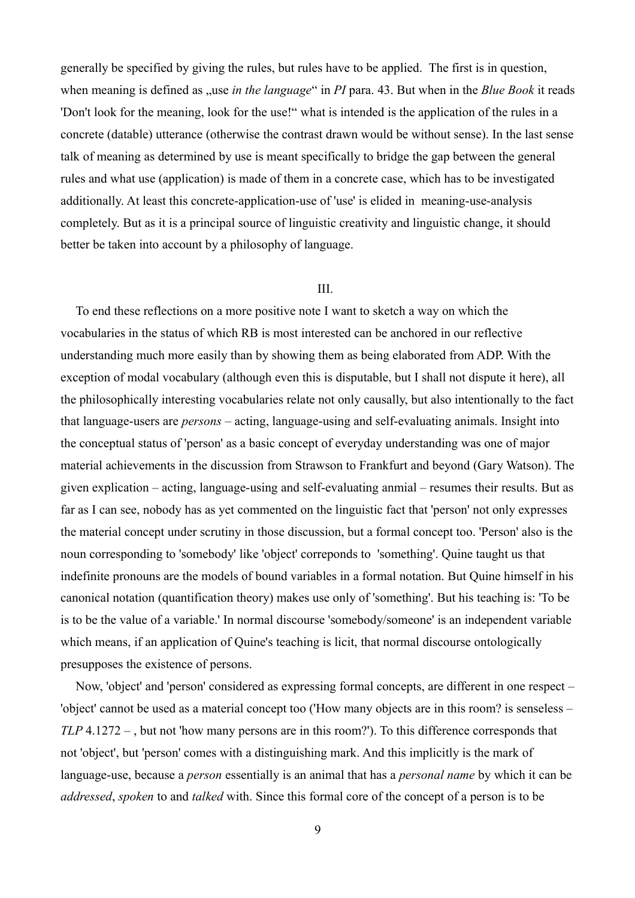generally be specified by giving the rules, but rules have to be applied. The first is in question, when meaning is defined as , use *in the language*" in *PI* para. 43. But when in the *Blue Book* it reads 'Don't look for the meaning, look for the use!" what is intended is the application of the rules in a concrete (datable) utterance (otherwise the contrast drawn would be without sense). In the last sense talk of meaning as determined by use is meant specifically to bridge the gap between the general rules and what use (application) is made of them in a concrete case, which has to be investigated additionally. At least this concrete-application-use of 'use' is elided in meaning-use-analysis completely. But as it is a principal source of linguistic creativity and linguistic change, it should better be taken into account by a philosophy of language.

## III.

To end these reflections on a more positive note I want to sketch a way on which the vocabularies in the status of which RB is most interested can be anchored in our reflective understanding much more easily than by showing them as being elaborated from ADP. With the exception of modal vocabulary (although even this is disputable, but I shall not dispute it here), all the philosophically interesting vocabularies relate not only causally, but also intentionally to the fact that language-users are *persons* – acting, language-using and self-evaluating animals. Insight into the conceptual status of 'person' as a basic concept of everyday understanding was one of major material achievements in the discussion from Strawson to Frankfurt and beyond (Gary Watson). The given explication – acting, language-using and self-evaluating anmial – resumes their results. But as far as I can see, nobody has as yet commented on the linguistic fact that 'person' not only expresses the material concept under scrutiny in those discussion, but a formal concept too. 'Person' also is the noun corresponding to 'somebody' like 'object' correponds to 'something'. Quine taught us that indefinite pronouns are the models of bound variables in a formal notation. But Quine himself in his canonical notation (quantification theory) makes use only of 'something'. But his teaching is: 'To be is to be the value of a variable.' In normal discourse 'somebody/someone' is an independent variable which means, if an application of Quine's teaching is licit, that normal discourse ontologically presupposes the existence of persons.

Now, 'object' and 'person' considered as expressing formal concepts, are different in one respect – 'object' cannot be used as a material concept too ('How many objects are in this room? is senseless – *TLP* 4.1272 – , but not 'how many persons are in this room?'). To this difference corresponds that not 'object', but 'person' comes with a distinguishing mark. And this implicitly is the mark of language-use, because a *person* essentially is an animal that has a *personal name* by which it can be *addressed*, *spoken* to and *talked* with. Since this formal core of the concept of a person is to be

9